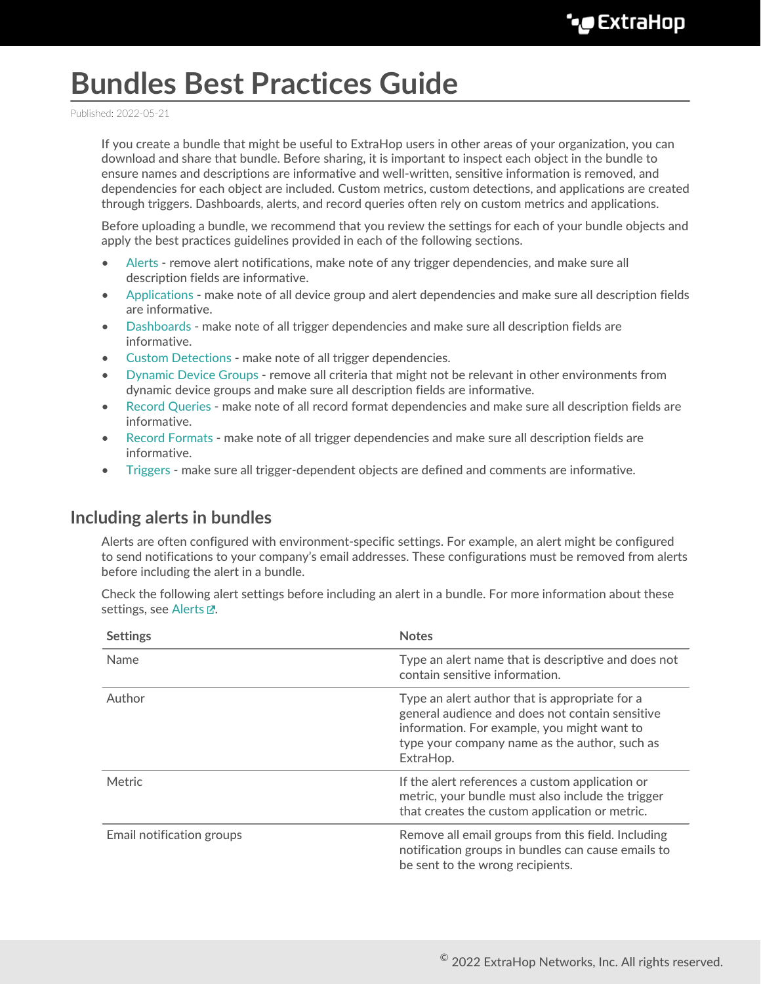# **Bundles Best Practices Guide**

Published: 2022-05-21

If you create a bundle that might be useful to ExtraHop users in other areas of your organization, you can download and share that bundle. Before sharing, it is important to inspect each object in the bundle to ensure names and descriptions are informative and well-written, sensitive information is removed, and dependencies for each object are included. Custom metrics, custom detections, and applications are created through triggers. Dashboards, alerts, and record queries often rely on custom metrics and applications.

Before uploading a bundle, we recommend that you review the settings for each of your bundle objects and apply the best practices guidelines provided in each of the following sections.

- [Alerts](#page-0-0)  remove alert notifications, make note of any trigger dependencies, and make sure all description fields are informative.
- [Applications](#page-1-0)  make note of all device group and alert dependencies and make sure all description fields are informative.
- [Dashboards](#page-1-1)  make note of all trigger dependencies and make sure all description fields are informative.
- [Custom Detections](#page-2-0) make note of all trigger dependencies.
- [Dynamic Device Groups](#page-3-0) remove all criteria that might not be relevant in other environments from dynamic device groups and make sure all description fields are informative.
- [Record Queries](#page-3-1)  make note of all record format dependencies and make sure all description fields are informative.
- [Record Formats](#page-4-0)  make note of all trigger dependencies and make sure all description fields are informative.
- [Triggers](#page-4-1) make sure all trigger-dependent objects are defined and comments are informative.

#### <span id="page-0-0"></span>**Including alerts in bundles**

Alerts are often configured with environment-specific settings. For example, an alert might be configured to send notifications to your company's email addresses. These configurations must be removed from alerts before including the alert in a bundle.

Check the following alert settings before including an alert in a bundle. For more information about these settings, see [Alerts .](https://docs.extrahop.com/8.9/alerts)..

| <b>Settings</b>           | <b>Notes</b>                                                                                                                                                                                                   |
|---------------------------|----------------------------------------------------------------------------------------------------------------------------------------------------------------------------------------------------------------|
| Name                      | Type an alert name that is descriptive and does not<br>contain sensitive information.                                                                                                                          |
| Author                    | Type an alert author that is appropriate for a<br>general audience and does not contain sensitive<br>information. For example, you might want to<br>type your company name as the author, such as<br>ExtraHop. |
| Metric                    | If the alert references a custom application or<br>metric, your bundle must also include the trigger<br>that creates the custom application or metric.                                                         |
| Email notification groups | Remove all email groups from this field. Including<br>notification groups in bundles can cause emails to<br>be sent to the wrong recipients.                                                                   |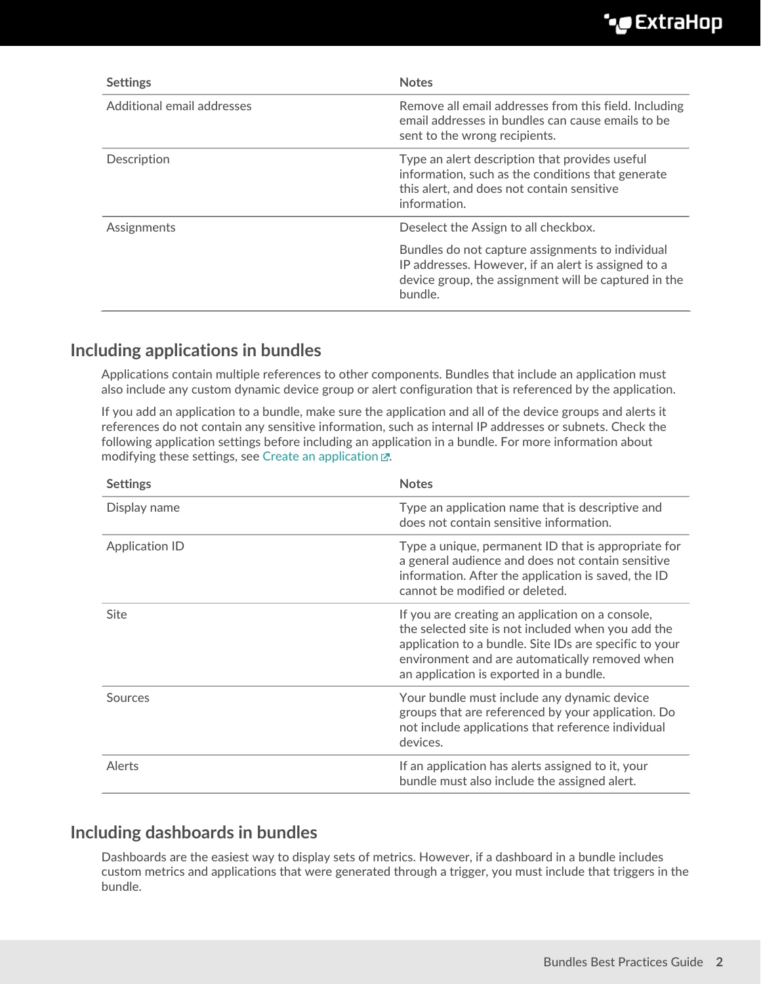| <b>Settings</b>            | <b>Notes</b>                                                                                                                                                               |
|----------------------------|----------------------------------------------------------------------------------------------------------------------------------------------------------------------------|
| Additional email addresses | Remove all email addresses from this field. Including<br>email addresses in bundles can cause emails to be<br>sent to the wrong recipients.                                |
| Description                | Type an alert description that provides useful<br>information, such as the conditions that generate<br>this alert, and does not contain sensitive<br>information.          |
| Assignments                | Deselect the Assign to all checkbox.                                                                                                                                       |
|                            | Bundles do not capture assignments to individual<br>IP addresses. However, if an alert is assigned to a<br>device group, the assignment will be captured in the<br>bundle. |

## <span id="page-1-0"></span>**Including applications in bundles**

Applications contain multiple references to other components. Bundles that include an application must also include any custom dynamic device group or alert configuration that is referenced by the application.

If you add an application to a bundle, make sure the application and all of the device groups and alerts it references do not contain any sensitive information, such as internal IP addresses or subnets. Check the following application settings before including an application in a bundle. For more information about modifying these settings, see [Create an application](https://docs.extrahop.com/8.9/applications-create-through-web-ui)  $\mathbb{E}$ .

| <b>Settings</b>       | <b>Notes</b>                                                                                                                                                                                                                                                  |
|-----------------------|---------------------------------------------------------------------------------------------------------------------------------------------------------------------------------------------------------------------------------------------------------------|
| Display name          | Type an application name that is descriptive and<br>does not contain sensitive information.                                                                                                                                                                   |
| <b>Application ID</b> | Type a unique, permanent ID that is appropriate for<br>a general audience and does not contain sensitive<br>information. After the application is saved, the ID<br>cannot be modified or deleted.                                                             |
| <b>Site</b>           | If you are creating an application on a console,<br>the selected site is not included when you add the<br>application to a bundle. Site IDs are specific to your<br>environment and are automatically removed when<br>an application is exported in a bundle. |
| Sources               | Your bundle must include any dynamic device<br>groups that are referenced by your application. Do<br>not include applications that reference individual<br>devices.                                                                                           |
| Alerts                | If an application has alerts assigned to it, your<br>bundle must also include the assigned alert.                                                                                                                                                             |

### <span id="page-1-1"></span>**Including dashboards in bundles**

Dashboards are the easiest way to display sets of metrics. However, if a dashboard in a bundle includes custom metrics and applications that were generated through a trigger, you must include that triggers in the bundle.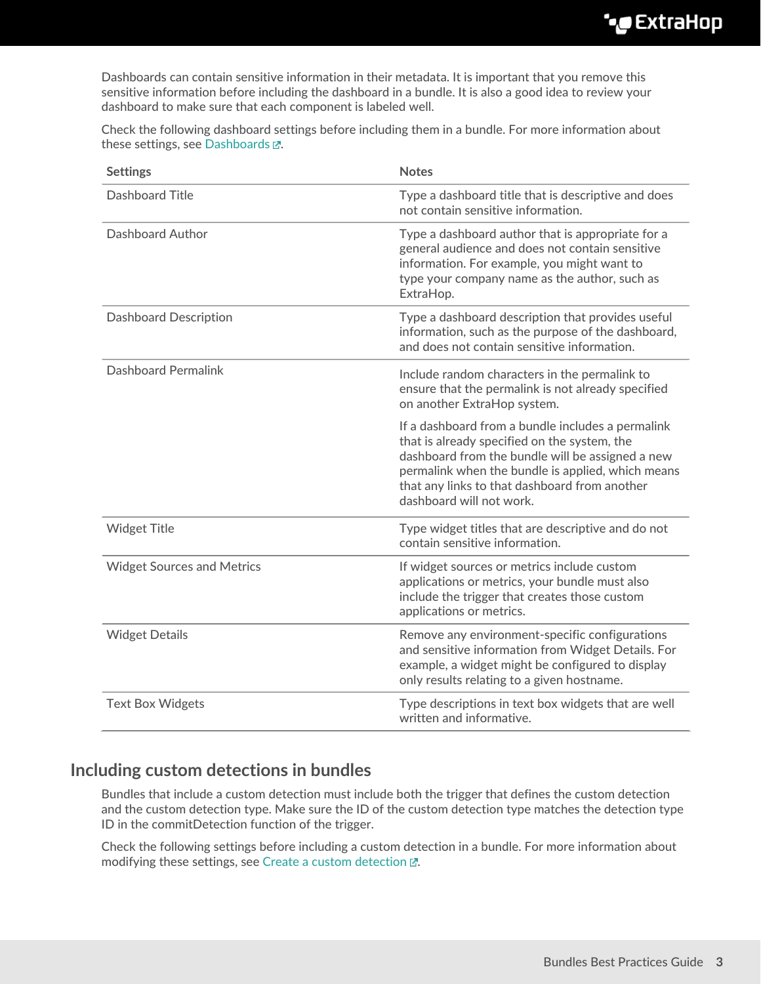Dashboards can contain sensitive information in their metadata. It is important that you remove this sensitive information before including the dashboard in a bundle. It is also a good idea to review your dashboard to make sure that each component is labeled well.

Check the following dashboard settings before including them in a bundle. For more information about these settings, see [Dashboards .](https://docs.extrahop.com/8.9/dashboards)..

| <b>Settings</b>                   | <b>Notes</b>                                                                                                                                                                                                                                                                            |
|-----------------------------------|-----------------------------------------------------------------------------------------------------------------------------------------------------------------------------------------------------------------------------------------------------------------------------------------|
| Dashboard Title                   | Type a dashboard title that is descriptive and does<br>not contain sensitive information.                                                                                                                                                                                               |
| Dashboard Author                  | Type a dashboard author that is appropriate for a<br>general audience and does not contain sensitive<br>information. For example, you might want to<br>type your company name as the author, such as<br>ExtraHop.                                                                       |
| <b>Dashboard Description</b>      | Type a dashboard description that provides useful<br>information, such as the purpose of the dashboard,<br>and does not contain sensitive information.                                                                                                                                  |
| <b>Dashboard Permalink</b>        | Include random characters in the permalink to<br>ensure that the permalink is not already specified<br>on another ExtraHop system.                                                                                                                                                      |
|                                   | If a dashboard from a bundle includes a permalink<br>that is already specified on the system, the<br>dashboard from the bundle will be assigned a new<br>permalink when the bundle is applied, which means<br>that any links to that dashboard from another<br>dashboard will not work. |
| <b>Widget Title</b>               | Type widget titles that are descriptive and do not<br>contain sensitive information.                                                                                                                                                                                                    |
| <b>Widget Sources and Metrics</b> | If widget sources or metrics include custom<br>applications or metrics, your bundle must also<br>include the trigger that creates those custom<br>applications or metrics.                                                                                                              |
| <b>Widget Details</b>             | Remove any environment-specific configurations<br>and sensitive information from Widget Details. For<br>example, a widget might be configured to display<br>only results relating to a given hostname.                                                                                  |
| <b>Text Box Widgets</b>           | Type descriptions in text box widgets that are well<br>written and informative.                                                                                                                                                                                                         |

### <span id="page-2-0"></span>**Including custom detections in bundles**

Bundles that include a custom detection must include both the trigger that defines the custom detection and the custom detection type. Make sure the ID of the custom detection type matches the detection type ID in the commitDetection function of the trigger.

Check the following settings before including a custom detection in a bundle. For more information about modifying these settings, see [Create a custom detection](https://docs.extrahop.com/8.9/create-custom-detection)  $\mathbb{Z}$ .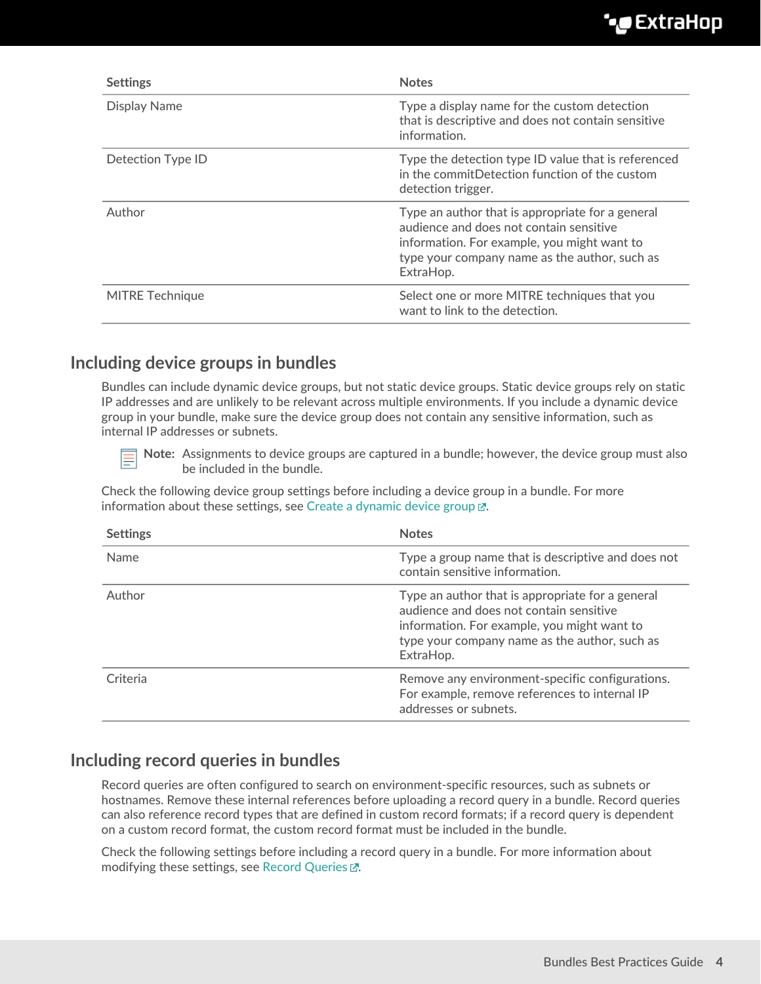| <b>Settings</b>        | <b>Notes</b>                                                                                                                                                                                             |
|------------------------|----------------------------------------------------------------------------------------------------------------------------------------------------------------------------------------------------------|
| Display Name           | Type a display name for the custom detection<br>that is descriptive and does not contain sensitive<br>information.                                                                                       |
| Detection Type ID      | Type the detection type ID value that is referenced<br>in the commitDetection function of the custom<br>detection trigger.                                                                               |
| Author                 | Type an author that is appropriate for a general<br>audience and does not contain sensitive<br>information. For example, you might want to<br>type your company name as the author, such as<br>ExtraHop. |
| <b>MITRE Technique</b> | Select one or more MITRE techniques that you<br>want to link to the detection.                                                                                                                           |

### <span id="page-3-0"></span>**Including device groups in bundles**

Bundles can include dynamic device groups, but not static device groups. Static device groups rely on static IP addresses and are unlikely to be relevant across multiple environments. If you include a dynamic device group in your bundle, make sure the device group does not contain any sensitive information, such as internal IP addresses or subnets.

**Note:** Assignments to device groups are captured in a bundle; however, the device group must also be included in the bundle.

Check the following device group settings before including a device group in a bundle. For more information about these settings, see [Create a dynamic device group](https://docs.extrahop.com/8.9/create-device-group)  $\mathbb{Z}$ .

| <b>Settings</b> | <b>Notes</b>                                                                                                                                                                                             |
|-----------------|----------------------------------------------------------------------------------------------------------------------------------------------------------------------------------------------------------|
| <b>Name</b>     | Type a group name that is descriptive and does not<br>contain sensitive information.                                                                                                                     |
| Author          | Type an author that is appropriate for a general<br>audience and does not contain sensitive<br>information. For example, you might want to<br>type your company name as the author, such as<br>ExtraHop. |
| Criteria        | Remove any environment-specific configurations.<br>For example, remove references to internal IP<br>addresses or subnets.                                                                                |

## <span id="page-3-1"></span>**Including record queries in bundles**

Record queries are often configured to search on environment-specific resources, such as subnets or hostnames. Remove these internal references before uploading a record query in a bundle. Record queries can also reference record types that are defined in custom record formats; if a record query is dependent on a custom record format, the custom record format must be included in the bundle.

Check the following settings before including a record query in a bundle. For more information about modifying these settings, see [Record Queries](https://docs.extrahop.com/8.9/query-stored-records) ...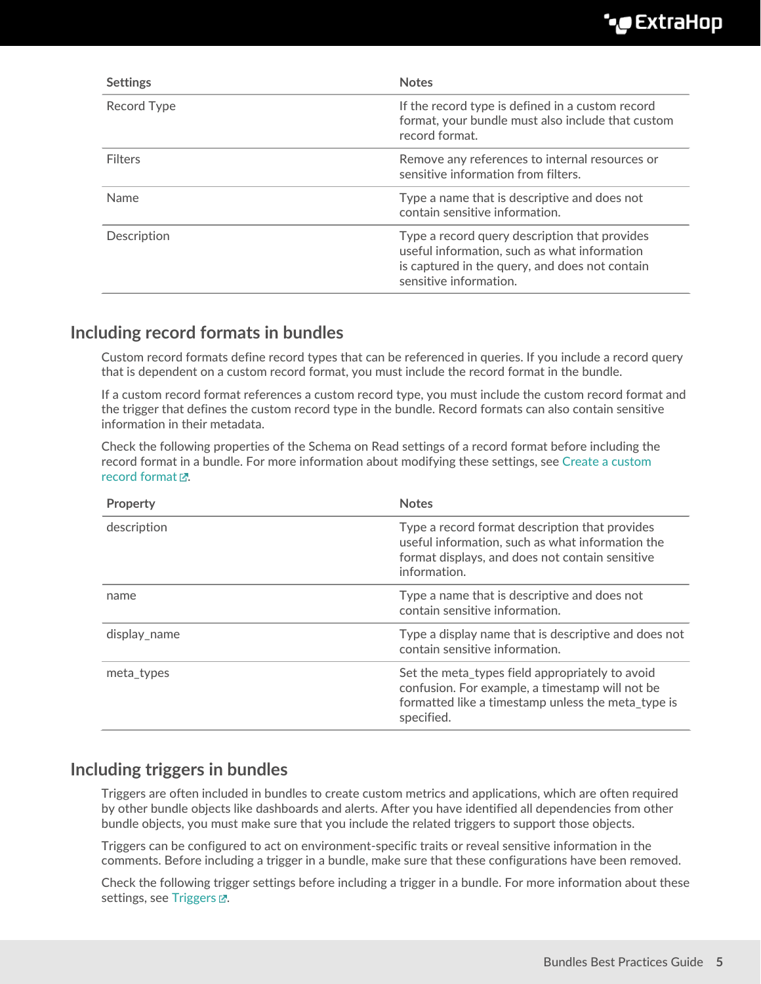| <b>Settings</b> | <b>Notes</b>                                                                                                                                                              |
|-----------------|---------------------------------------------------------------------------------------------------------------------------------------------------------------------------|
| Record Type     | If the record type is defined in a custom record<br>format, your bundle must also include that custom<br>record format.                                                   |
| <b>Filters</b>  | Remove any references to internal resources or<br>sensitive information from filters.                                                                                     |
| <b>Name</b>     | Type a name that is descriptive and does not<br>contain sensitive information.                                                                                            |
| Description     | Type a record query description that provides<br>useful information, such as what information<br>is captured in the query, and does not contain<br>sensitive information. |

## <span id="page-4-0"></span>**Including record formats in bundles**

Custom record formats define record types that can be referenced in queries. If you include a record query that is dependent on a custom record format, you must include the record format in the bundle.

If a custom record format references a custom record type, you must include the custom record format and the trigger that defines the custom record type in the bundle. Record formats can also contain sensitive information in their metadata.

Check the following properties of the Schema on Read settings of a record format before including the record format in a bundle. For more information about modifying these settings, see [Create a custom](https://docs.extrahop.com/8.9/collect-custom-records/#create-a-custom-record-format-to-display-your-record-results-in-a-table) [record format](https://docs.extrahop.com/8.9/collect-custom-records/#create-a-custom-record-format-to-display-your-record-results-in-a-table)  $\vec{r}$ .

| Property     | <b>Notes</b>                                                                                                                                                           |
|--------------|------------------------------------------------------------------------------------------------------------------------------------------------------------------------|
| description  | Type a record format description that provides<br>useful information, such as what information the<br>format displays, and does not contain sensitive<br>information.  |
| name         | Type a name that is descriptive and does not<br>contain sensitive information.                                                                                         |
| display_name | Type a display name that is descriptive and does not<br>contain sensitive information.                                                                                 |
| meta types   | Set the meta types field appropriately to avoid<br>confusion. For example, a timestamp will not be<br>formatted like a timestamp unless the meta type is<br>specified. |

## <span id="page-4-1"></span>**Including triggers in bundles**

Triggers are often included in bundles to create custom metrics and applications, which are often required by other bundle objects like dashboards and alerts. After you have identified all dependencies from other bundle objects, you must make sure that you include the related triggers to support those objects.

Triggers can be configured to act on environment-specific traits or reveal sensitive information in the comments. Before including a trigger in a bundle, make sure that these configurations have been removed.

Check the following trigger settings before including a trigger in a bundle. For more information about these settings, see Triggers  $\mathbb{Z}$ .